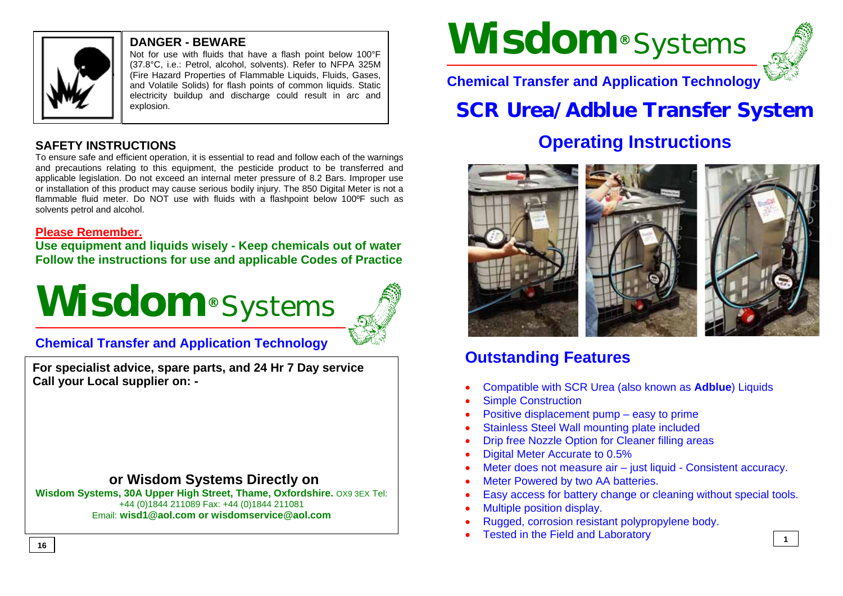

## **DANGER - BEWARE**

Not for use with fluids that have a flash point below 100°F (37.8°C, i.e.: Petrol, alcohol, solvents). Refer to NFPA 325M (Fire Hazard Properties of Flammable Liquids, Fluids, Gases, and Volatile Solids) for flash points of common liquids. Static electricity buildup and discharge could result in arc and explosion.

# **SAFETY INSTRUCTIONS**

To ensure safe and efficient operation, it is essential to read and follow each of the warnings and precautions relating to this equipment, the pesticide product to be transferred and applicable legislation. Do not exceed an internal meter pressure of 8.2 Bars. Improper use or installation of this product may cause serious bodily injury. The 850 Digital Meter is not a flammable fluid meter. Do NOT use with fluids with a flashpoint below 100ºF such as solvents petrol and alcohol.

# **Please Remember.**

**Use equipment and liquids wisely - Keep chemicals out of water Follow the instructions for use and applicable Codes of Practice** 





# **Chemical Transfer and Application Technology**

**For specialist advice, spare parts, and 24 Hr 7 Day service Call your Local supplier on: -** 

# **or Wisdom Systems Directly on**

**Wisdom Systems, 30A Upper High Street, Thame, Oxfordshire.** OX9 3EX Tel: +44 (0)1844 211089 Fax: +44 (0)1844 211081 Email: **wisd1@aol.com or wisdomservice@aol.com**

# **Wisdom®** Systems



**1**

**Chemical Transfer and Application Technology** 

# **SCR Urea/Adblue Transfer System**

# **Operating Instructions**



# **Outstanding Features**

- Compatible with SCR Urea (also known as **Adblue**) Liquids
- **Simple Construction**
- Positive displacement pump easy to prime
- Stainless Steel Wall mounting plate included
- Drip free Nozzle Option for Cleaner filling areas
- Digital Meter Accurate to 0.5%
- Meter does not measure air just liquid Consistent accuracy.
- Meter Powered by two AA batteries.
- Easy access for battery change or cleaning without special tools.
- Multiple position display.
- Rugged, corrosion resistant polypropylene body.
- Tested in the Field and Laboratory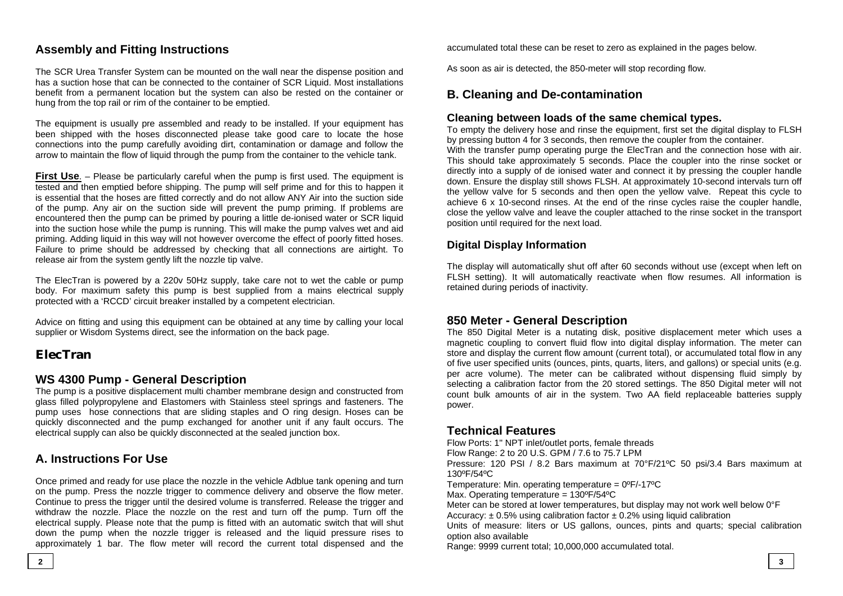# **Assembly and Fitting Instructions**

The SCR Urea Transfer System can be mounted on the wall near the dispense position and has a suction hose that can be connected to the container of SCR Liquid. Most installations benefit from a permanent location but the system can also be rested on the container or hung from the top rail or rim of the container to be emptied.

The equipment is usually pre assembled and ready to be installed. If your equipment has been shipped with the hoses disconnected please take good care to locate the hose connections into the pump carefully avoiding dirt, contamination or damage and follow the arrow to maintain the flow of liquid through the pump from the container to the vehicle tank.

**First Use**. – Please be particularly careful when the pump is first used. The equipment is tested and then emptied before shipping. The pump will self prime and for this to happen it is essential that the hoses are fitted correctly and do not allow ANY Air into the suction side of the pump. Any air on the suction side will prevent the pump priming. If problems are encountered then the pump can be primed by pouring a little de-ionised water or SCR liquid into the suction hose while the pump is running. This will make the pump valves wet and aid priming. Adding liquid in this way will not however overcome the effect of poorly fitted hoses. Failure to prime should be addressed by checking that all connections are airtight. To release air from the system gently lift the nozzle tip valve.

The ElecTran is powered by a 220v 50Hz supply, take care not to wet the cable or pump body. For maximum safety this pump is best supplied from a mains electrical supply protected with a 'RCCD' circuit breaker installed by a competent electrician.

Advice on fitting and using this equipment can be obtained at any time by calling your local supplier or Wisdom Systems direct, see the information on the back page.

#### **ElecTran**

#### **WS 4300 Pump - General Description**

The pump is a positive displacement multi chamber membrane design and constructed from glass filled polypropylene and Elastomers with Stainless steel springs and fasteners. The pump uses hose connections that are sliding staples and O ring design. Hoses can be quickly disconnected and the pump exchanged for another unit if any fault occurs. The electrical supply can also be quickly disconnected at the sealed junction box.

# **A. Instructions For Use**

Once primed and ready for use place the nozzle in the vehicle Adblue tank opening and turn on the pump. Press the nozzle trigger to commence delivery and observe the flow meter. Continue to press the trigger until the desired volume is transferred. Release the trigger and withdraw the nozzle. Place the nozzle on the rest and turn off the pump. Turn off the electrical supply. Please note that the pump is fitted with an automatic switch that will shut down the pump when the nozzle trigger is released and the liquid pressure rises to approximately 1 bar. The flow meter will record the current total dispensed and the

accumulated total these can be reset to zero as explained in the pages below.

As soon as air is detected, the 850-meter will stop recording flow.

#### **B. Cleaning and De-contamination**

#### **Cleaning between loads of the same chemical types.**

To empty the delivery hose and rinse the equipment, first set the digital display to FLSH by pressing button 4 for 3 seconds, then remove the coupler from the container. With the transfer pump operating purge the ElecTran and the connection hose with air. This should take approximately 5 seconds. Place the coupler into the rinse socket or directly into a supply of de ionised water and connect it by pressing the coupler handle down. Ensure the display still shows FLSH. At approximately 10-second intervals turn off the yellow valve for 5 seconds and then open the yellow valve. Repeat this cycle to achieve 6 x 10-second rinses. At the end of the rinse cycles raise the coupler handle, close the yellow valve and leave the coupler attached to the rinse socket in the transport position until required for the next load.

#### **Digital Display Information**

The display will automatically shut off after 60 seconds without use (except when left on FLSH setting). It will automatically reactivate when flow resumes. All information is retained during periods of inactivity.

#### **850 Meter - General Description**

The 850 Digital Meter is a nutating disk, positive displacement meter which uses a magnetic coupling to convert fluid flow into digital display information. The meter can store and display the current flow amount (current total), or accumulated total flow in any of five user specified units (ounces, pints, quarts, liters, and gallons) or special units (e.g. per acre volume). The meter can be calibrated without dispensing fluid simply by selecting a calibration factor from the 20 stored settings. The 850 Digital meter will not count bulk amounts of air in the system. Two AA field replaceable batteries supply power.

#### **Technical Features**

Flow Ports: 1" NPT inlet/outlet ports, female threads

Flow Range: 2 to 20 U.S. GPM / 7.6 to 75.7 LPM

Pressure: 120 PSI / 8.2 Bars maximum at 70°F/21ºC 50 psi/3.4 Bars maximum at 130ºF/54ºC

Temperature: Min. operating temperature =  $0^{\circ}F/-17^{\circ}C$ 

Max. Operating temperature = 130ºF/54ºC

Meter can be stored at lower temperatures, but display may not work well below 0°F Accuracy:  $\pm$  0.5% using calibration factor  $\pm$  0.2% using liquid calibration

Units of measure: liters or US gallons, ounces, pints and quarts; special calibration option also available

Range: 9999 current total; 10,000,000 accumulated total.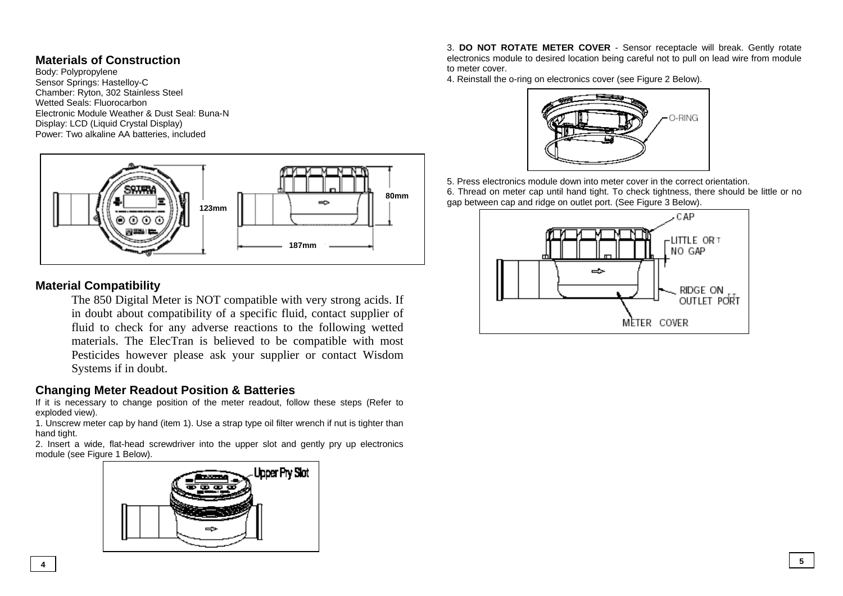## **Materials of Construction**

Body: Polypropylene Sensor Springs: Hastelloy-C Chamber: Ryton, 302 Stainless Steel Wetted Seals: Fluorocarbon Electronic Module Weather & Dust Seal: Buna-N Display: LCD (Liquid Crystal Display) Power: Two alkaline AA batteries, included



# **Material Compatibility**

The 850 Digital Meter is NOT compatible with very strong acids. If in doubt about compatibility of a specific fluid, contact supplier of fluid to check for any adverse reactions to the following wetted materials. The ElecTran is believed to be compatible with most Pesticides however please ask your supplier or contact Wisdom Systems if in doubt.

## **Changing Meter Readout Position & Batteries**

If it is necessary to change position of the meter readout, follow these steps (Refer to exploded view).

1. Unscrew meter cap by hand (item 1). Use a strap type oil filter wrench if nut is tighter than hand tight.

2. Insert a wide, flat-head screwdriver into the upper slot and gently pry up electronics module (see Figure 1 Below).



3. **DO NOT ROTATE METER COVER** - Sensor receptacle will break. Gently rotate electronics module to desired location being careful not to pull on lead wire from module to meter cover.

4. Reinstall the o-ring on electronics cover (see Figure 2 Below).



5. Press electronics module down into meter cover in the correct orientation. 6. Thread on meter cap until hand tight. To check tightness, there should be little or no

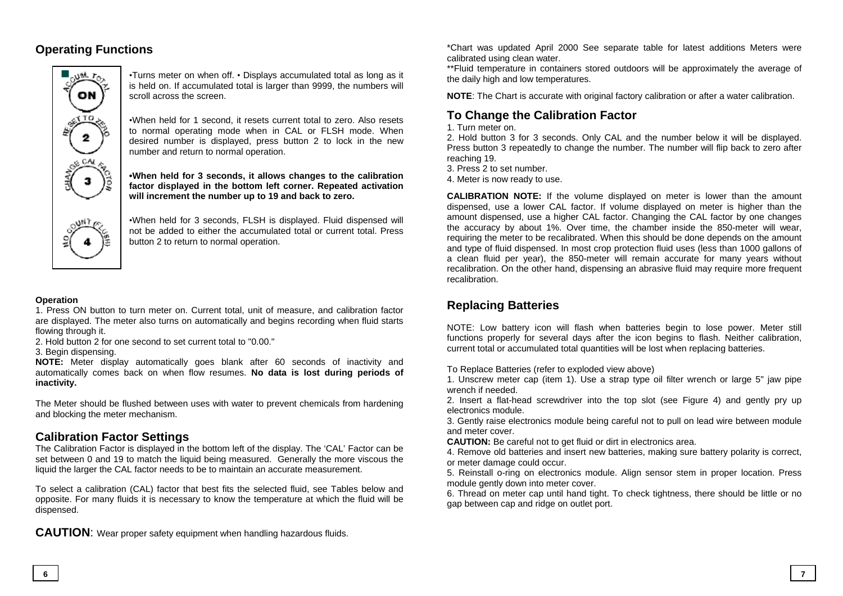# **Operating Functions**



•Turns meter on when off. • Displays accumulated total as long as it is held on. If accumulated total is larger than 9999, the numbers will scroll across the screen.

•When held for 1 second, it resets current total to zero. Also resets to normal operating mode when in CAL or FLSH mode. When desired number is displayed, press button 2 to lock in the new number and return to normal operation.

**•When held for 3 seconds, it allows changes to the calibration factor displayed in the bottom left corner. Repeated activation will increment the number up to 19 and back to zero.** 

•When held for 3 seconds, FLSH is displayed. Fluid dispensed will not be added to either the accumulated total or current total. Press button 2 to return to normal operation.

#### **Operation**

1. Press ON button to turn meter on. Current total, unit of measure, and calibration factor are displayed. The meter also turns on automatically and begins recording when fluid starts flowing through it.

2. Hold button 2 for one second to set current total to "0.00."

3. Begin dispensing.

**NOTE:** Meter display automatically goes blank after 60 seconds of inactivity and automatically comes back on when flow resumes. **No data is lost during periods of inactivity.** 

The Meter should be flushed between uses with water to prevent chemicals from hardening and blocking the meter mechanism.

## **Calibration Factor Settings**

The Calibration Factor is displayed in the bottom left of the display. The 'CAL' Factor can be set between 0 and 19 to match the liquid being measured. Generally the more viscous the liquid the larger the CAL factor needs to be to maintain an accurate measurement.

To select a calibration (CAL) factor that best fits the selected fluid, see Tables below and opposite. For many fluids it is necessary to know the temperature at which the fluid will be dispensed.

**CAUTION**: Wear proper safety equipment when handling hazardous fluids.

\*Chart was updated April 2000 See separate table for latest additions Meters were calibrated using clean water.

\*\*Fluid temperature in containers stored outdoors will be approximately the average of the daily high and low temperatures.

**NOTE:** The Chart is accurate with original factory calibration or after a water calibration.

# **To Change the Calibration Factor**

#### 1. Turn meter on.

2. Hold button 3 for 3 seconds. Only CAL and the number below it will be displayed. Press button 3 repeatedly to change the number. The number will flip back to zero after reaching 19.

3. Press 2 to set number.

4. Meter is now ready to use.

**CALIBRATION NOTE:** If the volume displayed on meter is lower than the amount dispensed, use a lower CAL factor. If volume displayed on meter is higher than the amount dispensed, use a higher CAL factor. Changing the CAL factor by one changes the accuracy by about 1%. Over time, the chamber inside the 850-meter will wear, requiring the meter to be recalibrated. When this should be done depends on the amount and type of fluid dispensed. In most crop protection fluid uses (less than 1000 gallons of a clean fluid per year), the 850-meter will remain accurate for many years without recalibration. On the other hand, dispensing an abrasive fluid may require more frequent recalibration.

# **Replacing Batteries**

NOTE: Low battery icon will flash when batteries begin to lose power. Meter still functions properly for several days after the icon begins to flash. Neither calibration, current total or accumulated total quantities will be lost when replacing batteries.

To Replace Batteries (refer to exploded view above)

1. Unscrew meter cap (item 1). Use a strap type oil filter wrench or large 5" jaw pipe wrench if needed.

2. Insert a flat-head screwdriver into the top slot (see Figure 4) and gently pry up electronics module.

3. Gently raise electronics module being careful not to pull on lead wire between module and meter cover.

**CAUTION:** Be careful not to get fluid or dirt in electronics area.

4. Remove old batteries and insert new batteries, making sure battery polarity is correct, or meter damage could occur.

5. Reinstall o-ring on electronics module. Align sensor stem in proper location. Press module gently down into meter cover.

6. Thread on meter cap until hand tight. To check tightness, there should be little or no gap between cap and ridge on outlet port.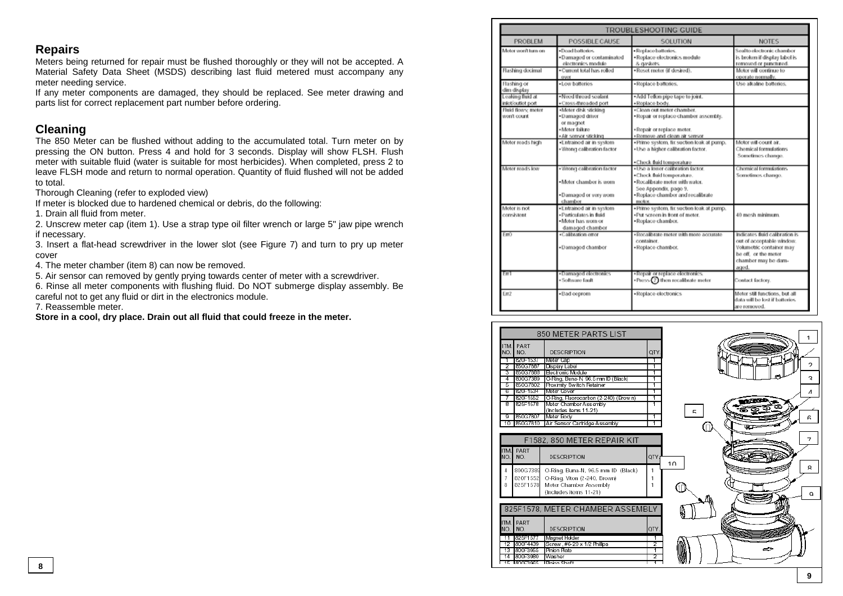#### **Repairs**

Meters being returned for repair must be flushed thoroughly or they will not be accepted. A Material Safety Data Sheet (MSDS) describing last fluid metered must accompany any meter needing service.

If any meter components are damaged, they should be replaced. See meter drawing and parts list for correct replacement part number before ordering.

#### **Cleaning**

The 850 Meter can be flushed without adding to the accumulated total. Turn meter on by pressing the ON button. Press 4 and hold for 3 seconds. Display will show FLSH. Flush meter with suitable fluid (water is suitable for most herbicides). When completed, press 2 to leave FLSH mode and return to normal operation. Quantity of fluid flushed will not be added to total.

Thorough Cleaning (refer to exploded view)

If meter is blocked due to hardened chemical or debris, do the following:

1. Drain all fluid from meter.

2. Unscrew meter cap (item 1). Use a strap type oil filter wrench or large 5" jaw pipe wrench if necessary.

3. Insert a flat-head screwdriver in the lower slot (see Figure 7) and turn to pry up meter cover

4. The meter chamber (item 8) can now be removed.

5. Air sensor can removed by gently prying towards center of meter with a screwdriver.

6. Rinse all meter components with flushing fluid. Do NOT submerge display assembly. Be careful not to get any fluid or dirt in the electronics module.

7. Reassemble meter.

**Store in a cool, dry place. Drain out all fluid that could freeze in the meter.**

| TROUBLESHOOTING GUIDE                 |                                                                                                  |                                                                                                                                                                                                     |                                                                                                                                                 |  |
|---------------------------------------|--------------------------------------------------------------------------------------------------|-----------------------------------------------------------------------------------------------------------------------------------------------------------------------------------------------------|-------------------------------------------------------------------------------------------------------------------------------------------------|--|
| PROBLEM                               | POSSIBLE CAUSE                                                                                   | SOLUTION                                                                                                                                                                                            | <b>NOTES</b>                                                                                                                                    |  |
| Motor won't turn on                   | ·Doad battories.<br>·Damaged or contaminated<br>electronics module                               | · Replace batteries.<br>· Replace electronics module<br>& gardents.                                                                                                                                 | Soalto electronic chamber<br>is broken if display label is<br>removed or punctured.                                                             |  |
| Flashing docimal                      | · Current total has rolled<br>ovor                                                               | ·Roset meter @ desired).                                                                                                                                                                            | Motor will continue to<br>operate normally.                                                                                                     |  |
| Flashing or<br>dim display            | . Low batteries                                                                                  | · Replace batteries.                                                                                                                                                                                | Uso alkalino battorios.                                                                                                                         |  |
| Leaking fluid at<br>inict/outlet port | - Nood throad soalant<br>· Cross-throaded port                                                   | . Add Teflon pipe tape to joint.<br>·Replace body.                                                                                                                                                  |                                                                                                                                                 |  |
| Fluid flows: meter<br>won't count.    | «Meter disk sticking<br>·Damaged driver<br>or magnet<br>· Motor failure<br>· Air sensor sticking | .Clean out motor chamber.<br>. Repair or replace chamber assembly.<br>·Repair or replace meter.<br>· Remove and clean air sensor                                                                    |                                                                                                                                                 |  |
| Motor roads high                      | -Entrained air in system<br>· Wrong calibration factor                                           | · Prime system, fix suction leak at pump.<br>. Use a higher calibration factor.                                                                                                                     | Motor will count air.<br>Chemical formulations.<br>Sometimes change.                                                                            |  |
| Motor spads low                       | · Wrong calibration factor<br>· Motor chambor is worn<br>. Damaged or very worn<br>chambor       | .Check fluid temperature<br>.Use a lower calibration factor.<br>.Check fluid temperature.<br>· Rocalibrate meter with water.<br>See Appendix, page 9.<br>-Replace chamber and recalibrate<br>molor. | Chamical formulations.<br>Sometimos chango.                                                                                                     |  |
| Motor is not<br>consistent            | · Entrained air in system<br>· Particulates in fluid<br>. Motor has worn or<br>damaged chamber   | · Prime system, fix suction leak at pump.<br>·Put screen in front of meter.<br>·Replace chamber.                                                                                                    | 40 mosh minimum.                                                                                                                                |  |
| EmO                                   | .Calibration error<br>·Damaged chamber                                                           | · Recalibrate meter with more accurate<br>container.<br>·Replace chamber.                                                                                                                           | Indicates fluid calibration is<br>out of acceptable window.<br>Volumetric container may<br>be off. or the meter<br>chamber may be dam-<br>aged. |  |
| Em                                    | +Damaged electronics<br>· Software fault                                                         | . Repair or replace electronics.<br>$\cdot$ Press $\Omega$ then recalibrate meter                                                                                                                   | Contact factory.                                                                                                                                |  |
| Em <sub>2</sub>                       | · Bad coprom                                                                                     | ·Replace electronics                                                                                                                                                                                | Motor still functions, but all<br>data will be lost if batteries.<br>are removed.                                                               |  |

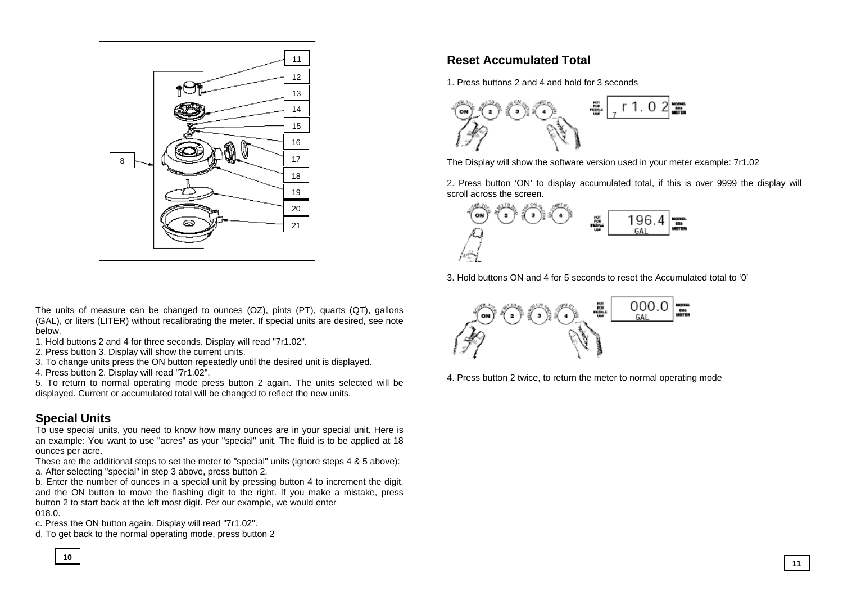

The units of measure can be changed to ounces (OZ), pints (PT), quarts (QT), gallons (GAL), or liters (LITER) without recalibrating the meter. If special units are desired, see note below.

- 1. Hold buttons 2 and 4 for three seconds. Display will read "7r1.02".
- 2. Press button 3. Display will show the current units.
- 3. To change units press the ON button repeatedly until the desired unit is displayed.
- 4. Press button 2. Display will read "7r1.02".

5. To return to normal operating mode press button 2 again. The units selected will be displayed. Current or accumulated total will be changed to reflect the new units.

# **Special Units**

To use special units, you need to know how many ounces are in your special unit. Here is an example: You want to use "acres" as your "special" unit. The fluid is to be applied at 18 ounces per acre.

These are the additional steps to set the meter to "special" units (ignore steps 4 & 5 above): a. After selecting "special" in step 3 above, press button 2.

b. Enter the number of ounces in a special unit by pressing button 4 to increment the digit, and the ON button to move the flashing digit to the right. If you make a mistake, press button 2 to start back at the left most digit. Per our example, we would enter 018.0.

c. Press the ON button again. Display will read "7r1.02".

d. To get back to the normal operating mode, press button 2

# **Reset Accumulated Total**

1. Press buttons 2 and 4 and hold for 3 seconds



The Display will show the software version used in your meter example: 7r1.02

2. Press button 'ON' to display accumulated total, if this is over 9999 the display will scroll across the screen.



3. Hold buttons ON and 4 for 5 seconds to reset the Accumulated total to '0'



4. Press button 2 twice, to return the meter to normal operating mode